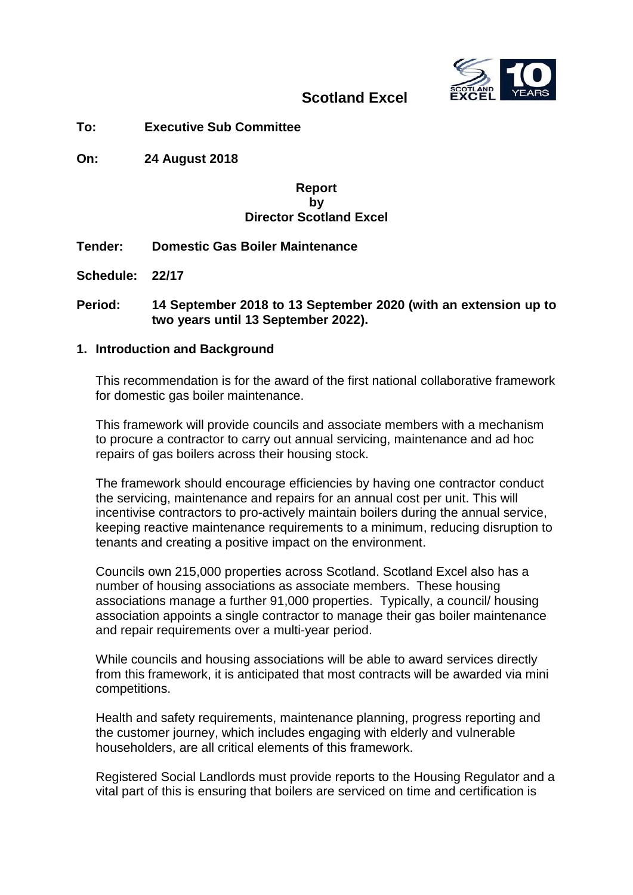

## **Scotland Excel**

**To: Executive Sub Committee**

**On: 24 August 2018** 

## **Report by Director Scotland Excel**

**Tender: Domestic Gas Boiler Maintenance**

**Schedule: 22/17**

**Period: 14 September 2018 to 13 September 2020 (with an extension up to two years until 13 September 2022).**

#### **1. Introduction and Background**

This recommendation is for the award of the first national collaborative framework for domestic gas boiler maintenance.

This framework will provide councils and associate members with a mechanism to procure a contractor to carry out annual servicing, maintenance and ad hoc repairs of gas boilers across their housing stock.

The framework should encourage efficiencies by having one contractor conduct the servicing, maintenance and repairs for an annual cost per unit. This will incentivise contractors to pro-actively maintain boilers during the annual service, keeping reactive maintenance requirements to a minimum, reducing disruption to tenants and creating a positive impact on the environment.

Councils own 215,000 properties across Scotland. Scotland Excel also has a number of housing associations as associate members. These housing associations manage a further 91,000 properties. Typically, a council/ housing association appoints a single contractor to manage their gas boiler maintenance and repair requirements over a multi-year period.

While councils and housing associations will be able to award services directly from this framework, it is anticipated that most contracts will be awarded via mini competitions.

Health and safety requirements, maintenance planning, progress reporting and the customer journey, which includes engaging with elderly and vulnerable householders, are all critical elements of this framework.

Registered Social Landlords must provide reports to the Housing Regulator and a vital part of this is ensuring that boilers are serviced on time and certification is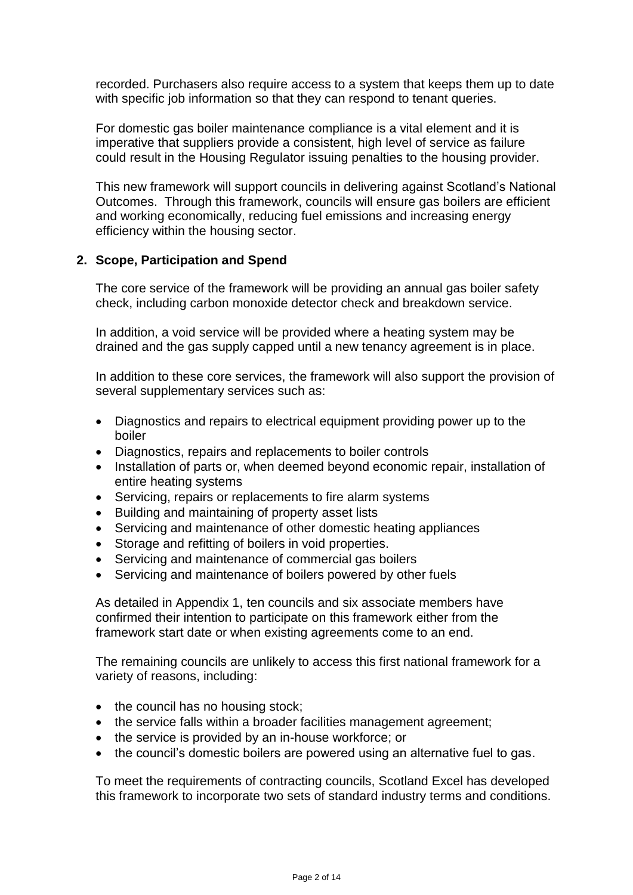recorded. Purchasers also require access to a system that keeps them up to date with specific job information so that they can respond to tenant queries.

For domestic gas boiler maintenance compliance is a vital element and it is imperative that suppliers provide a consistent, high level of service as failure could result in the Housing Regulator issuing penalties to the housing provider.

This new framework will support councils in delivering against Scotland's National Outcomes. Through this framework, councils will ensure gas boilers are efficient and working economically, reducing fuel emissions and increasing energy efficiency within the housing sector.

## **2. Scope, Participation and Spend**

The core service of the framework will be providing an annual gas boiler safety check, including carbon monoxide detector check and breakdown service.

In addition, a void service will be provided where a heating system may be drained and the gas supply capped until a new tenancy agreement is in place.

In addition to these core services, the framework will also support the provision of several supplementary services such as:

- Diagnostics and repairs to electrical equipment providing power up to the boiler
- Diagnostics, repairs and replacements to boiler controls
- Installation of parts or, when deemed beyond economic repair, installation of entire heating systems
- Servicing, repairs or replacements to fire alarm systems
- Building and maintaining of property asset lists
- Servicing and maintenance of other domestic heating appliances
- Storage and refitting of boilers in void properties.
- Servicing and maintenance of commercial gas boilers
- Servicing and maintenance of boilers powered by other fuels

As detailed in Appendix 1, ten councils and six associate members have confirmed their intention to participate on this framework either from the framework start date or when existing agreements come to an end.

The remaining councils are unlikely to access this first national framework for a variety of reasons, including:

- the council has no housing stock;
- the service falls within a broader facilities management agreement;
- the service is provided by an in-house workforce; or
- the council's domestic boilers are powered using an alternative fuel to gas.

To meet the requirements of contracting councils, Scotland Excel has developed this framework to incorporate two sets of standard industry terms and conditions.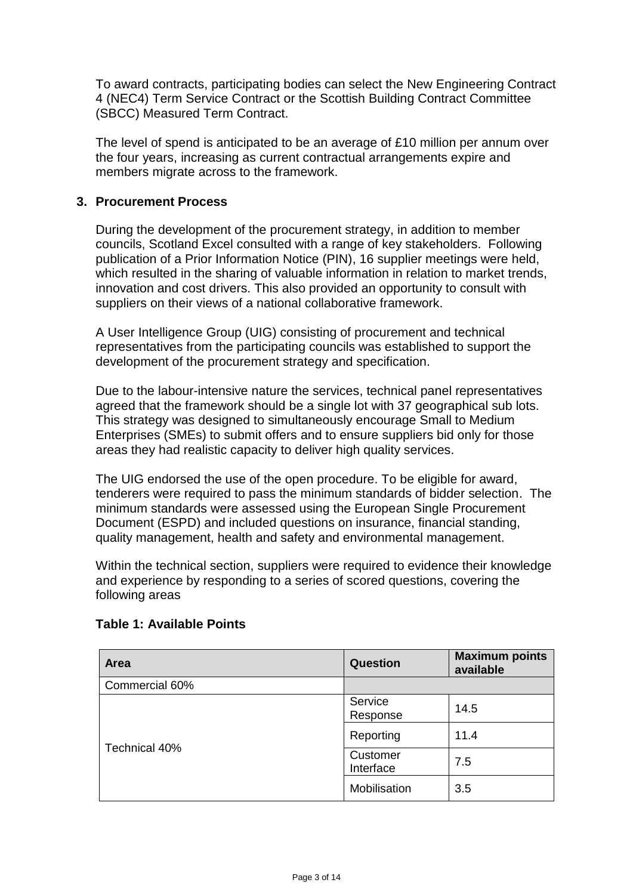To award contracts, participating bodies can select the New Engineering Contract 4 (NEC4) Term Service Contract or the Scottish Building Contract Committee (SBCC) Measured Term Contract.

The level of spend is anticipated to be an average of £10 million per annum over the four years, increasing as current contractual arrangements expire and members migrate across to the framework.

### **3. Procurement Process**

During the development of the procurement strategy, in addition to member councils, Scotland Excel consulted with a range of key stakeholders. Following publication of a Prior Information Notice (PIN), 16 supplier meetings were held, which resulted in the sharing of valuable information in relation to market trends, innovation and cost drivers. This also provided an opportunity to consult with suppliers on their views of a national collaborative framework.

A User Intelligence Group (UIG) consisting of procurement and technical representatives from the participating councils was established to support the development of the procurement strategy and specification.

Due to the labour-intensive nature the services, technical panel representatives agreed that the framework should be a single lot with 37 geographical sub lots. This strategy was designed to simultaneously encourage Small to Medium Enterprises (SMEs) to submit offers and to ensure suppliers bid only for those areas they had realistic capacity to deliver high quality services.

The UIG endorsed the use of the open procedure. To be eligible for award, tenderers were required to pass the minimum standards of bidder selection. The minimum standards were assessed using the European Single Procurement Document (ESPD) and included questions on insurance, financial standing, quality management, health and safety and environmental management.

Within the technical section, suppliers were required to evidence their knowledge and experience by responding to a series of scored questions, covering the following areas

| Area           | <b>Question</b>       | <b>Maximum points</b><br>available |
|----------------|-----------------------|------------------------------------|
| Commercial 60% |                       |                                    |
|                | Service<br>Response   | 14.5                               |
| Technical 40%  | Reporting             | 11.4                               |
|                | Customer<br>Interface | 7.5                                |
|                | Mobilisation          | 3.5                                |

#### **Table 1: Available Points**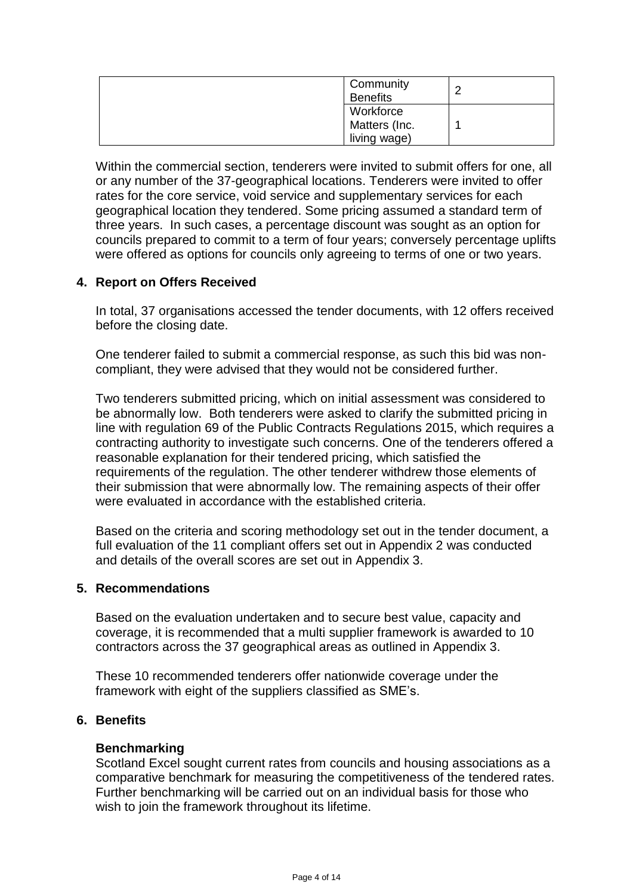| Community<br><b>Benefits</b> | ⌒ |
|------------------------------|---|
| Workforce                    |   |
| Matters (Inc.                |   |
| living wage)                 |   |

Within the commercial section, tenderers were invited to submit offers for one, all or any number of the 37-geographical locations. Tenderers were invited to offer rates for the core service, void service and supplementary services for each geographical location they tendered. Some pricing assumed a standard term of three years. In such cases, a percentage discount was sought as an option for councils prepared to commit to a term of four years; conversely percentage uplifts were offered as options for councils only agreeing to terms of one or two years.

## **4. Report on Offers Received**

In total, 37 organisations accessed the tender documents, with 12 offers received before the closing date.

One tenderer failed to submit a commercial response, as such this bid was noncompliant, they were advised that they would not be considered further.

Two tenderers submitted pricing, which on initial assessment was considered to be abnormally low. Both tenderers were asked to clarify the submitted pricing in line with regulation 69 of the Public Contracts Regulations 2015, which requires a contracting authority to investigate such concerns. One of the tenderers offered a reasonable explanation for their tendered pricing, which satisfied the requirements of the regulation. The other tenderer withdrew those elements of their submission that were abnormally low. The remaining aspects of their offer were evaluated in accordance with the established criteria.

Based on the criteria and scoring methodology set out in the tender document, a full evaluation of the 11 compliant offers set out in Appendix 2 was conducted and details of the overall scores are set out in Appendix 3.

## **5. Recommendations**

Based on the evaluation undertaken and to secure best value, capacity and coverage, it is recommended that a multi supplier framework is awarded to 10 contractors across the 37 geographical areas as outlined in Appendix 3.

These 10 recommended tenderers offer nationwide coverage under the framework with eight of the suppliers classified as SME's.

#### **6. Benefits**

#### **Benchmarking**

Scotland Excel sought current rates from councils and housing associations as a comparative benchmark for measuring the competitiveness of the tendered rates. Further benchmarking will be carried out on an individual basis for those who wish to join the framework throughout its lifetime.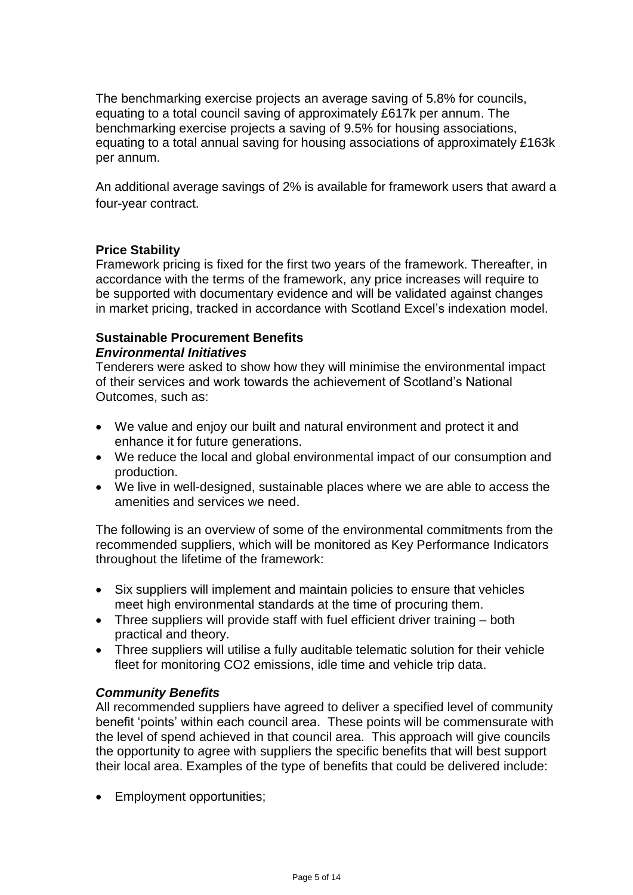The benchmarking exercise projects an average saving of 5.8% for councils, equating to a total council saving of approximately £617k per annum. The benchmarking exercise projects a saving of 9.5% for housing associations, equating to a total annual saving for housing associations of approximately £163k per annum.

An additional average savings of 2% is available for framework users that award a four-year contract.

## **Price Stability**

Framework pricing is fixed for the first two years of the framework. Thereafter, in accordance with the terms of the framework, any price increases will require to be supported with documentary evidence and will be validated against changes in market pricing, tracked in accordance with Scotland Excel's indexation model.

### **Sustainable Procurement Benefits**  *Environmental Initiatives*

Tenderers were asked to show how they will minimise the environmental impact of their services and work towards the achievement of Scotland's National Outcomes, such as:

- We value and enjoy our built and natural environment and protect it and enhance it for future generations.
- We reduce the local and global environmental impact of our consumption and production.
- We live in well-designed, sustainable places where we are able to access the amenities and services we need.

The following is an overview of some of the environmental commitments from the recommended suppliers, which will be monitored as Key Performance Indicators throughout the lifetime of the framework:

- Six suppliers will implement and maintain policies to ensure that vehicles meet high environmental standards at the time of procuring them.
- Three suppliers will provide staff with fuel efficient driver training both practical and theory.
- Three suppliers will utilise a fully auditable telematic solution for their vehicle fleet for monitoring CO2 emissions, idle time and vehicle trip data.

## *Community Benefits*

All recommended suppliers have agreed to deliver a specified level of community benefit 'points' within each council area. These points will be commensurate with the level of spend achieved in that council area. This approach will give councils the opportunity to agree with suppliers the specific benefits that will best support their local area. Examples of the type of benefits that could be delivered include:

• Employment opportunities;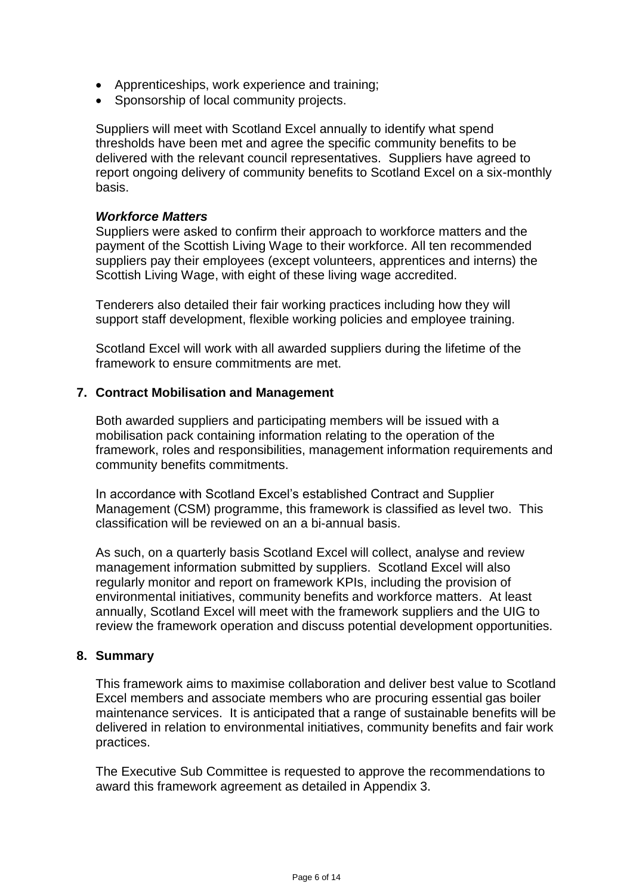- Apprenticeships, work experience and training;
- Sponsorship of local community projects.

Suppliers will meet with Scotland Excel annually to identify what spend thresholds have been met and agree the specific community benefits to be delivered with the relevant council representatives. Suppliers have agreed to report ongoing delivery of community benefits to Scotland Excel on a six-monthly basis.

#### *Workforce Matters*

Suppliers were asked to confirm their approach to workforce matters and the payment of the Scottish Living Wage to their workforce. All ten recommended suppliers pay their employees (except volunteers, apprentices and interns) the Scottish Living Wage, with eight of these living wage accredited.

Tenderers also detailed their fair working practices including how they will support staff development, flexible working policies and employee training.

Scotland Excel will work with all awarded suppliers during the lifetime of the framework to ensure commitments are met.

#### **7. Contract Mobilisation and Management**

Both awarded suppliers and participating members will be issued with a mobilisation pack containing information relating to the operation of the framework, roles and responsibilities, management information requirements and community benefits commitments.

In accordance with Scotland Excel's established Contract and Supplier Management (CSM) programme, this framework is classified as level two. This classification will be reviewed on an a bi-annual basis.

As such, on a quarterly basis Scotland Excel will collect, analyse and review management information submitted by suppliers. Scotland Excel will also regularly monitor and report on framework KPIs, including the provision of environmental initiatives, community benefits and workforce matters. At least annually, Scotland Excel will meet with the framework suppliers and the UIG to review the framework operation and discuss potential development opportunities.

#### **8. Summary**

This framework aims to maximise collaboration and deliver best value to Scotland Excel members and associate members who are procuring essential gas boiler maintenance services. It is anticipated that a range of sustainable benefits will be delivered in relation to environmental initiatives, community benefits and fair work practices.

The Executive Sub Committee is requested to approve the recommendations to award this framework agreement as detailed in Appendix 3.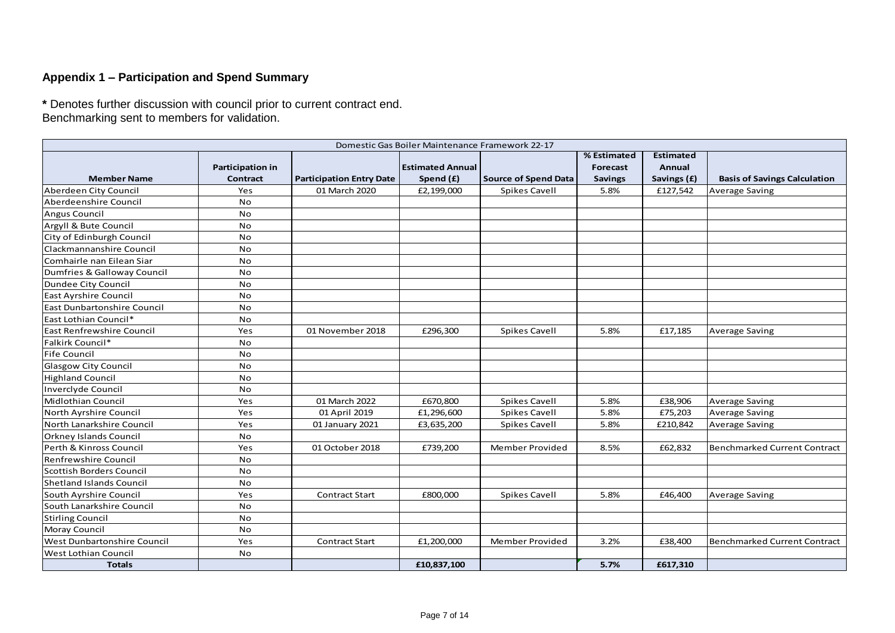### **Appendix 1 – Participation and Spend Summary**

**\*** Denotes further discussion with council prior to current contract end.

|                                 |                                     |                                 | Domestic Gas Boiler Maintenance Framework 22-17 |                             |                                           |                                           |                                     |
|---------------------------------|-------------------------------------|---------------------------------|-------------------------------------------------|-----------------------------|-------------------------------------------|-------------------------------------------|-------------------------------------|
| <b>Member Name</b>              | <b>Participation in</b><br>Contract | <b>Participation Entry Date</b> | <b>Estimated Annual</b><br>Spend (£)            | <b>Source of Spend Data</b> | % Estimated<br>Forecast<br><b>Savings</b> | <b>Estimated</b><br>Annual<br>Savings (£) | <b>Basis of Savings Calculation</b> |
| Aberdeen City Council           | Yes                                 | 01 March 2020                   | £2,199,000                                      | Spikes Cavell               | 5.8%                                      | £127,542                                  | <b>Average Saving</b>               |
| Aberdeenshire Council           | No                                  |                                 |                                                 |                             |                                           |                                           |                                     |
| Angus Council                   | No                                  |                                 |                                                 |                             |                                           |                                           |                                     |
| Argyll & Bute Council           | No                                  |                                 |                                                 |                             |                                           |                                           |                                     |
| City of Edinburgh Council       | <b>No</b>                           |                                 |                                                 |                             |                                           |                                           |                                     |
| <b>Clackmannanshire Council</b> | No                                  |                                 |                                                 |                             |                                           |                                           |                                     |
| Comhairle nan Eilean Siar       | <b>No</b>                           |                                 |                                                 |                             |                                           |                                           |                                     |
| Dumfries & Galloway Council     | <b>No</b>                           |                                 |                                                 |                             |                                           |                                           |                                     |
| Dundee City Council             | No                                  |                                 |                                                 |                             |                                           |                                           |                                     |
| <b>East Ayrshire Council</b>    | No                                  |                                 |                                                 |                             |                                           |                                           |                                     |
| East Dunbartonshire Council     | <b>No</b>                           |                                 |                                                 |                             |                                           |                                           |                                     |
| East Lothian Council*           | No                                  |                                 |                                                 |                             |                                           |                                           |                                     |
| East Renfrewshire Council       | Yes                                 | 01 November 2018                | £296,300                                        | Spikes Cavell               | 5.8%                                      | £17,185                                   | <b>Average Saving</b>               |
| Falkirk Council*                | No                                  |                                 |                                                 |                             |                                           |                                           |                                     |
| Fife Council                    | <b>No</b>                           |                                 |                                                 |                             |                                           |                                           |                                     |
| Glasgow City Council            | <b>No</b>                           |                                 |                                                 |                             |                                           |                                           |                                     |
| Highland Council                | <b>No</b>                           |                                 |                                                 |                             |                                           |                                           |                                     |
| Inverclyde Council              | No                                  |                                 |                                                 |                             |                                           |                                           |                                     |
| Midlothian Council              | Yes                                 | 01 March 2022                   | £670,800                                        | Spikes Cavell               | 5.8%                                      | £38,906                                   | Average Saving                      |
| North Ayrshire Council          | Yes                                 | 01 April 2019                   | £1,296,600                                      | Spikes Cavell               | 5.8%                                      | £75,203                                   | <b>Average Saving</b>               |
| North Lanarkshire Council       | Yes                                 | 01 January 2021                 | £3,635,200                                      | Spikes Cavell               | 5.8%                                      | £210,842                                  | <b>Average Saving</b>               |
| <b>Orkney Islands Council</b>   | No                                  |                                 |                                                 |                             |                                           |                                           |                                     |
| Perth & Kinross Council         | Yes                                 | 01 October 2018                 | £739,200                                        | Member Provided             | 8.5%                                      | £62,832                                   | Benchmarked Current Contract        |
| Renfrewshire Council            | No                                  |                                 |                                                 |                             |                                           |                                           |                                     |
| Scottish Borders Council        | <b>No</b>                           |                                 |                                                 |                             |                                           |                                           |                                     |
| Shetland Islands Council        | <b>No</b>                           |                                 |                                                 |                             |                                           |                                           |                                     |
| South Ayrshire Council          | Yes                                 | <b>Contract Start</b>           | £800,000                                        | Spikes Cavell               | 5.8%                                      | £46,400                                   | <b>Average Saving</b>               |
| South Lanarkshire Council       | No                                  |                                 |                                                 |                             |                                           |                                           |                                     |
| <b>Stirling Council</b>         | No                                  |                                 |                                                 |                             |                                           |                                           |                                     |
| Moray Council                   | <b>No</b>                           |                                 |                                                 |                             |                                           |                                           |                                     |
| West Dunbartonshire Council     | Yes                                 | <b>Contract Start</b>           | £1,200,000                                      | Member Provided             | 3.2%                                      | £38,400                                   | <b>Benchmarked Current Contract</b> |
| West Lothian Council            | No                                  |                                 |                                                 |                             |                                           |                                           |                                     |
| <b>Totals</b>                   |                                     |                                 | £10,837,100                                     |                             | 5.7%                                      | £617,310                                  |                                     |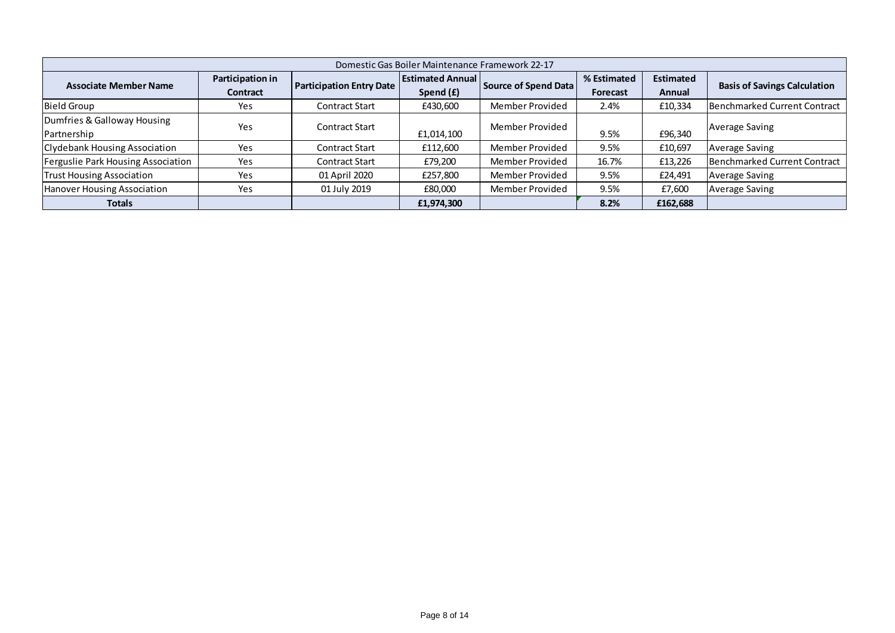| Domestic Gas Boiler Maintenance Framework 22-17 |                              |                                 |                                      |                      |                                |                            |                                     |  |  |  |
|-------------------------------------------------|------------------------------|---------------------------------|--------------------------------------|----------------------|--------------------------------|----------------------------|-------------------------------------|--|--|--|
| <b>Associate Member Name</b>                    | Participation in<br>Contract | <b>Participation Entry Date</b> | <b>Estimated Annual</b><br>Spend (£) | Source of Spend Data | % Estimated<br><b>Forecast</b> | <b>Estimated</b><br>Annual | <b>Basis of Savings Calculation</b> |  |  |  |
| <b>Bield Group</b>                              | Yes                          | <b>Contract Start</b>           | £430,600                             | Member Provided      | 2.4%                           | £10,334                    | Benchmarked Current Contract        |  |  |  |
| Dumfries & Galloway Housing<br>Partnership      | Yes                          | <b>Contract Start</b>           | £1,014,100                           | Member Provided      | 9.5%                           | £96,340                    | <b>Average Saving</b>               |  |  |  |
| <b>Clydebank Housing Association</b>            | Yes                          | <b>Contract Start</b>           | £112,600                             | Member Provided      | 9.5%                           | £10.697                    | <b>Average Saving</b>               |  |  |  |
| Ferguslie Park Housing Association              | Yes                          | <b>Contract Start</b>           | £79,200                              | Member Provided      | 16.7%                          | £13,226                    | Benchmarked Current Contract        |  |  |  |
| <b>Trust Housing Association</b>                | Yes                          | 01 April 2020                   | £257,800                             | Member Provided      | 9.5%                           | £24,491                    | <b>Average Saving</b>               |  |  |  |
| Hanover Housing Association                     | Yes                          | 01 July 2019                    | £80,000                              | Member Provided      | 9.5%                           | £7,600                     | <b>Average Saving</b>               |  |  |  |
| <b>Totals</b>                                   |                              |                                 | £1,974,300                           |                      | 8.2%                           | £162,688                   |                                     |  |  |  |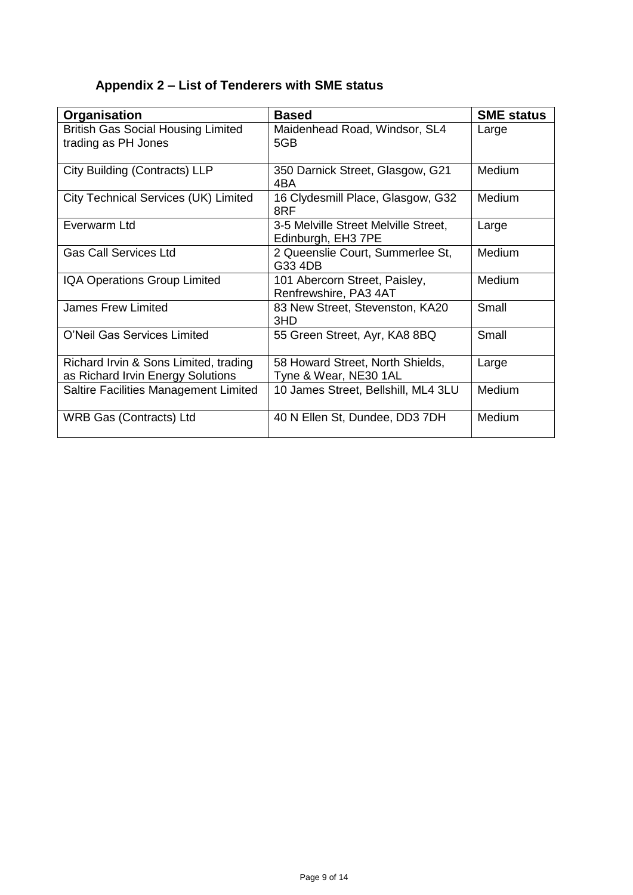# **Appendix 2 – List of Tenderers with SME status**

| Organisation                                                               | <b>Based</b>                                               | <b>SME status</b> |
|----------------------------------------------------------------------------|------------------------------------------------------------|-------------------|
| <b>British Gas Social Housing Limited</b><br>trading as PH Jones           | Maidenhead Road, Windsor, SL4<br>5GB                       | Large             |
| City Building (Contracts) LLP                                              | 350 Darnick Street, Glasgow, G21<br>4BA                    | Medium            |
| City Technical Services (UK) Limited                                       | 16 Clydesmill Place, Glasgow, G32<br>8RF                   | Medium            |
| Everwarm Ltd                                                               | 3-5 Melville Street Melville Street,<br>Edinburgh, EH3 7PE | Large             |
| <b>Gas Call Services Ltd</b>                                               | 2 Queenslie Court, Summerlee St,<br>G33 4DB                | Medium            |
| <b>IQA Operations Group Limited</b>                                        | 101 Abercorn Street, Paisley,<br>Renfrewshire, PA3 4AT     | Medium            |
| <b>James Frew Limited</b>                                                  | 83 New Street, Stevenston, KA20<br>3HD                     | Small             |
| O'Neil Gas Services Limited                                                | 55 Green Street, Ayr, KA8 8BQ                              | Small             |
| Richard Irvin & Sons Limited, trading<br>as Richard Irvin Energy Solutions | 58 Howard Street, North Shields,<br>Tyne & Wear, NE30 1AL  | Large             |
| Saltire Facilities Management Limited                                      | 10 James Street, Bellshill, ML4 3LU                        | Medium            |
| <b>WRB Gas (Contracts) Ltd</b>                                             | 40 N Ellen St, Dundee, DD3 7DH                             | Medium            |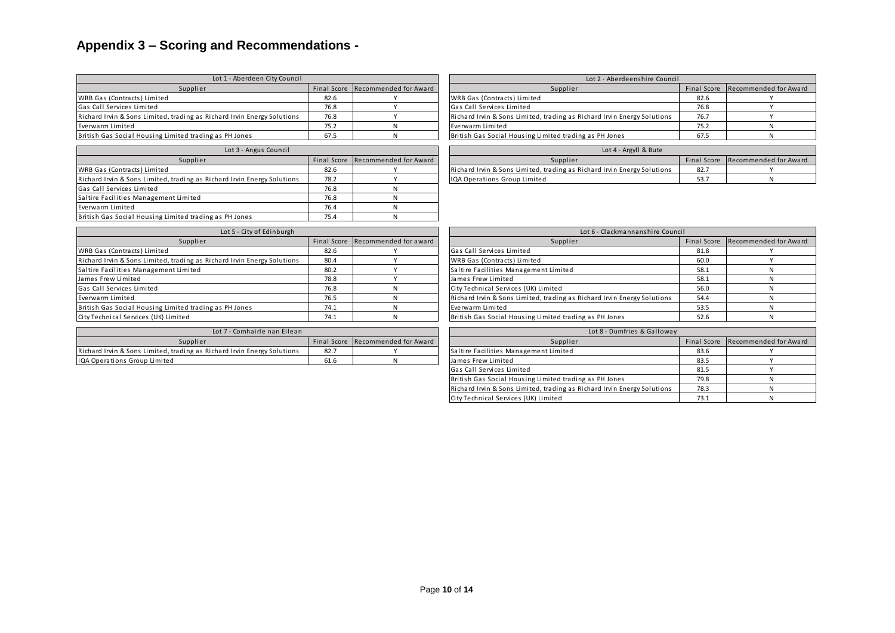# **Appendix 3 – Scoring and Recommendations -**

| Lot 1 - Aberdeen City Council                                           |             |                       | Lot 2 - Aberdeenshire Council                                           |             |              |
|-------------------------------------------------------------------------|-------------|-----------------------|-------------------------------------------------------------------------|-------------|--------------|
| Supplier                                                                | Final Score | Recommended for Award | Supplier                                                                | Final Score | Recommended  |
| WRB Gas (Contracts) Limited                                             | 82.6        |                       | WRB Gas (Contracts) Limited                                             | 82.6        |              |
| Gas Call Services Limited                                               | 76.8        | $\mathbf{v}$          | Gas Call Services Limited                                               | 76.8        |              |
| Richard Irvin & Sons Limited, trading as Richard Irvin Energy Solutions | 76.8        | $\mathbf{v}$          | Richard Irvin & Sons Limited, trading as Richard Irvin Energy Solutions | 76.7        |              |
| Everwarm Limited                                                        | 75.2        | N                     | Everwarm Limited                                                        | 75.2        | N            |
| British Gas Social Housing Limited trading as PH Jones                  | 67.5        | N                     | British Gas Social Housing Limited trading as PH Jones                  | 67.5        | N            |
| Lot 3 - Angus Council                                                   |             |                       | Lot 4 - Argyll & Bute                                                   |             |              |
| Supplier                                                                | Final Score | Recommended for Award | Supplier                                                                | Final Score | Recommended  |
| WRB Gas (Contracts) Limited                                             | 82.6        |                       | Richard Irvin & Sons Limited, trading as Richard Irvin Energy Solutions | 82.7        |              |
| Richard Irvin & Sons Limited, trading as Richard Irvin Energy Solutions | 78.2        | $\mathbf{v}$          | IQA Operations Group Limited                                            | 53.7        | N            |
| Gas Call Services Limited                                               | 76.8        | N                     |                                                                         |             |              |
| Saltire Facilities Management Limited                                   | 76.8        | N                     |                                                                         |             |              |
| Everwarm Limited                                                        | 76.4        | N                     |                                                                         |             |              |
| British Gas Social Housing Limited trading as PH Jones                  | 75.4        | N                     |                                                                         |             |              |
| Lot 5 - City of Edinburgh                                               |             |                       | Lot 6 - Clackmannanshire Council                                        |             |              |
| Supplier                                                                | Final Score | Recommended for award | Supplier                                                                | Final Score | Recommended  |
| WRB Gas (Contracts) Limited                                             | 82.6        |                       | Gas Call Services Limited                                               | 81.8        |              |
| Richard Irvin & Sons Limited, trading as Richard Irvin Energy Solutions | 80.4        | $\mathbf{v}$          | WRB Gas (Contracts) Limited                                             | 60.0        | $\checkmark$ |
| Saltire Facilities Management Limited                                   | 80.2        | $\mathbf{v}$          | Saltire Facilities Management Limited                                   | 58.1        | N            |
| James Frew Limited                                                      | 78.8        |                       | James Frew Limited                                                      | 58.1        | N            |
| Gas Call Services Limited                                               | 76.8        | N                     | City Technical Services (UK) Limited                                    | 56.0        | N            |
| Everwarm Limited                                                        | 76.5        | N                     | Richard Irvin & Sons Limited, trading as Richard Irvin Energy Solutions | 54.4        | N            |

| Lot 1 - Aberdeen City Council          |      |                                   | Lot 2 - Aberdeenshire Council                                           |      |                                   |  |  |
|----------------------------------------|------|-----------------------------------|-------------------------------------------------------------------------|------|-----------------------------------|--|--|
| Supplier                               |      | Final Score Recommended for Award | Supplier                                                                |      | Final Score Recommended for Award |  |  |
|                                        | 82.6 |                                   | WRB Gas (Contracts) Limited                                             | 82.6 |                                   |  |  |
|                                        | 76.8 |                                   | Gas Call Services Limited                                               | 76.8 |                                   |  |  |
| ding as Richard Irvin Energy Solutions | 76.8 |                                   | Richard Irvin & Sons Limited, trading as Richard Irvin Energy Solutions | 76.7 |                                   |  |  |
|                                        | 75.2 |                                   | Everwarm Limited                                                        | 75.2 |                                   |  |  |
| ted trading as PH Jones                | 67.5 |                                   | British Gas Social Housing Limited trading as PH Jones                  | 67.5 |                                   |  |  |

| Lot 3 - Angus Council                  |                                   |  | Lot 4 - Argyll & Bute                                                   |             |                       |
|----------------------------------------|-----------------------------------|--|-------------------------------------------------------------------------|-------------|-----------------------|
| Supplier                               | Final Score Recommended for Award |  | Supplier                                                                | Final Score | Recommended for Award |
|                                        | 82.6                              |  | Richard Irvin & Sons Limited, trading as Richard Irvin Energy Solutions | 82.         |                       |
| ding as Richard Irvin Energy Solutions | 78.2                              |  | <b>IOA Operations Group Limited</b>                                     |             |                       |

| Lot 5 - City of Edinburgh                                               |                                   | Lot 6 - Clackmannanshire Council |                                                                         |             |             |  |
|-------------------------------------------------------------------------|-----------------------------------|----------------------------------|-------------------------------------------------------------------------|-------------|-------------|--|
| Supplier                                                                | Final Score Recommended for award |                                  | Supplier                                                                | Final Score | Recommended |  |
| WRB Gas (Contracts) Limited                                             | 82.6                              |                                  | Gas Call Services Limited                                               | 81.8        |             |  |
| Richard Irvin & Sons Limited, trading as Richard Irvin Energy Solutions | 80.4                              |                                  | WRB Gas (Contracts) Limited                                             | 60.0        |             |  |
| Saltire Facilities Management Limited                                   | 80.2                              |                                  | Saltire Facilities Management Limited                                   | 58.1        |             |  |
| James Frew Limited                                                      | 78.8                              |                                  | James Frew Limited                                                      | 58.1        |             |  |
| Gas Call Services Limited                                               | 76.8                              |                                  | City Technical Services (UK) Limited                                    | 56.0        |             |  |
| Everwarm Limited                                                        | 76.5                              |                                  | Richard Irvin & Sons Limited, trading as Richard Irvin Energy Solutions | 54.4        |             |  |
| British Gas Social Housing Limited trading as PH Jones                  | 74.1                              |                                  | Everwarm Limited                                                        | 53.5        |             |  |
| City Technical Services (UK) Limited                                    | 74.1                              |                                  | British Gas Social Housing Limited trading as PH Jones                  | 52.6        |             |  |

| 7 - Comhairle nan Eilean<br>Lot 7                                       | Lot 8 - Dumfries & Galloway |                                   |                                       |             |             |
|-------------------------------------------------------------------------|-----------------------------|-----------------------------------|---------------------------------------|-------------|-------------|
| Supplier                                                                |                             | Final Score Recommended for Award | Supplier                              | Final Score | Recommended |
| Richard Irvin & Sons Limited, trading as Richard Irvin Energy Solutions | 82.7                        |                                   | Saltire Facilities Management Limited | 33.t        |             |
| IQA Operations Group Limited                                            | 61.6                        |                                   | James Frew Limited                    | 55.         |             |

| Lot 5 - City of Edinburgh              |      |                                   | Lot 6 - Clackmannanshire Council                                        |      |                                   |  |  |
|----------------------------------------|------|-----------------------------------|-------------------------------------------------------------------------|------|-----------------------------------|--|--|
| Supplier                               |      | Final Score Recommended for award | Supplier                                                                |      | Final Score Recommended for Award |  |  |
|                                        | 82.6 |                                   | Gas Call Services Limited                                               | 81.8 |                                   |  |  |
| ding as Richard Irvin Energy Solutions | 80.4 |                                   | WRB Gas (Contracts) Limited                                             | 60.0 |                                   |  |  |
| .imited                                | 80.2 |                                   | Saltire Facilities Management Limited                                   | 58.1 |                                   |  |  |
|                                        | 78.8 |                                   | James Frew Limited                                                      | 58.1 |                                   |  |  |
|                                        | 76.8 |                                   | City Technical Services (UK) Limited                                    | 56.0 |                                   |  |  |
|                                        | 76.5 |                                   | Richard Irvin & Sons Limited, trading as Richard Irvin Energy Solutions | 54.4 |                                   |  |  |
| ted trading as PH Jones                | 74.1 |                                   | Everwarm Limited                                                        | 53.5 |                                   |  |  |
| ted                                    | 74.1 |                                   | British Gas Social Housing Limited trading as PH Jones                  | 52.6 |                                   |  |  |

| Lot 7 - Comhairle nan Eilean           |      |                                   | Lot 8 - Dumfries & Galloway                                             |      |                                   |  |
|----------------------------------------|------|-----------------------------------|-------------------------------------------------------------------------|------|-----------------------------------|--|
| Supplier                               |      | Final Score Recommended for Award | Supplier                                                                |      | Final Score Recommended for Award |  |
| ding as Richard Irvin Energy Solutions | 82.7 |                                   | Saltire Facilities Management Limited                                   | 83.6 |                                   |  |
|                                        | 61.6 |                                   | James Frew Limited                                                      | 83.5 |                                   |  |
|                                        |      |                                   | Gas Call Services Limited                                               | 81.5 |                                   |  |
|                                        |      |                                   | British Gas Social Housing Limited trading as PH Jones                  | 79.8 |                                   |  |
|                                        |      |                                   | Richard Irvin & Sons Limited, trading as Richard Irvin Energy Solutions | 78.3 |                                   |  |
|                                        |      |                                   | City Technical Services (UK) Limited                                    | 73.1 |                                   |  |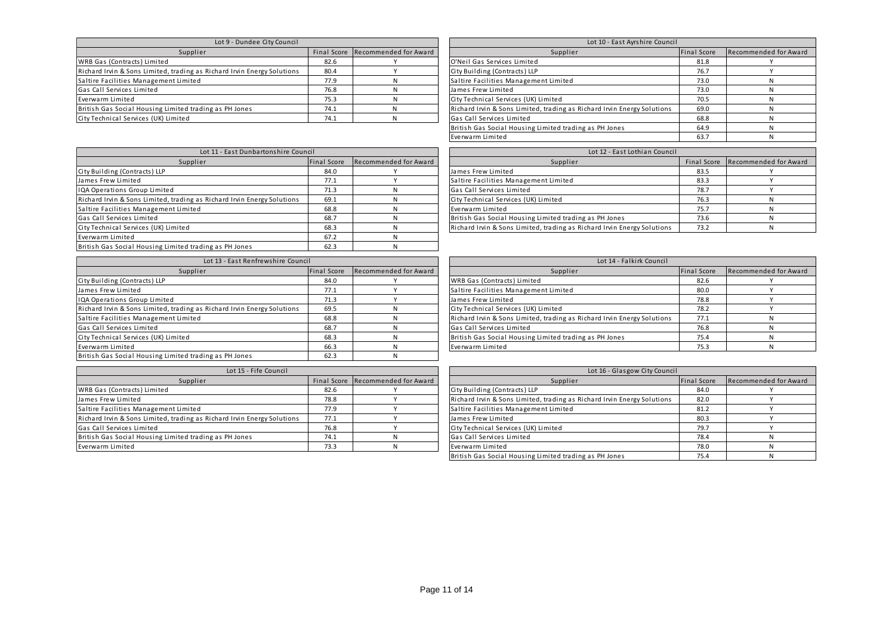| Lot 9 - Dundee City Council                                             | Lot 10 - East Ayrshire Council |                                   |                                                                         |             |             |
|-------------------------------------------------------------------------|--------------------------------|-----------------------------------|-------------------------------------------------------------------------|-------------|-------------|
| Supplier                                                                |                                | Final Score Recommended for Award | Supplier                                                                | Final Score | Recommended |
| WRB Gas (Contracts) Limited                                             | 82.6                           |                                   | O'Neil Gas Services Limited                                             | 81.8        |             |
| Richard Irvin & Sons Limited, trading as Richard Irvin Energy Solutions | 80.4                           |                                   | City Building (Contracts) LLP                                           | 76.7        |             |
| Saltire Facilities Management Limited                                   | 77.9                           |                                   | Saltire Facilities Management Limited                                   | 73.0        |             |
| Gas Call Services Limited                                               | 76.8                           |                                   | James Frew Limited                                                      | 73.0        |             |
| Everwarm Limited                                                        | 75.3                           |                                   | City Technical Services (UK) Limited                                    | 70.5        |             |
| British Gas Social Housing Limited trading as PH Jones                  | 74.1                           |                                   | Richard Irvin & Sons Limited, trading as Richard Irvin Energy Solutions | 69.0        |             |
| City Technical Services (UK) Limited                                    | 74.1                           |                                   | Gas Call Services Limited                                               | 68.8        |             |

| Lot 9 - Dundee City Council                                             |      |                                   | Lot 10 - East Ayrshire Council                                          |             |                       |
|-------------------------------------------------------------------------|------|-----------------------------------|-------------------------------------------------------------------------|-------------|-----------------------|
| Supplier                                                                |      | Final Score Recommended for Award | Supplier                                                                | Final Score | Recommended for Award |
| WRB Gas (Contracts) Limited                                             | 82.6 |                                   | O'Neil Gas Services Limited                                             | 81.8        |                       |
| Richard Irvin & Sons Limited, trading as Richard Irvin Energy Solutions | 80.4 |                                   | City Building (Contracts) LLP                                           | 76.7        |                       |
| Saltire Facilities Management Limited                                   | 77.9 |                                   | Saltire Facilities Management Limited                                   | 73.0        |                       |
| Gas Call Services Limited                                               | 76.8 |                                   | James Frew Limited                                                      | 73.0        |                       |
| Everwarm Limited                                                        | 75.3 |                                   | City Technical Services (UK) Limited                                    | 70.5        |                       |
| British Gas Social Housing Limited trading as PH Jones                  | 74.1 |                                   | Richard Irvin & Sons Limited, trading as Richard Irvin Energy Solutions | 69.0        |                       |
| City Technical Services (UK) Limited                                    | 74.1 |                                   | Gas Call Services Limited                                               | 68.8        |                       |
|                                                                         |      |                                   | British Gas Social Housing Limited trading as PH Jones                  | 64.9        |                       |
|                                                                         |      |                                   | Everwarm Limited                                                        | 63.7        |                       |

| Lot 11 - East Dunbartonshire Council                                    |      |                                   | Lot 12 - East Lothian Council                                           |      |                         |
|-------------------------------------------------------------------------|------|-----------------------------------|-------------------------------------------------------------------------|------|-------------------------|
| Supplier                                                                |      | Final Score Recommended for Award | Supplier                                                                |      | Final Score Recommended |
| City Building (Contracts) LLP                                           | 84.0 |                                   | James Frew Limited                                                      | 83.5 |                         |
| James Frew Limited                                                      | 77.1 |                                   | Saltire Facilities Management Limited                                   | 83.3 |                         |
| IQA Operations Group Limited                                            | 71.3 |                                   | Gas Call Services Limited                                               | 78.7 |                         |
| Richard Irvin & Sons Limited, trading as Richard Irvin Energy Solutions | 69.1 |                                   | City Technical Services (UK) Limited                                    | 76.3 |                         |
| Saltire Facilities Management Limited                                   | 68.8 |                                   | Everwarm Limited                                                        | 75.7 |                         |
| Gas Call Services Limited                                               | 68.7 |                                   | British Gas Social Housing Limited trading as PH Jones                  | 73.6 |                         |
| City Technical Services (UK) Limited                                    | 68.3 |                                   | Richard Irvin & Sons Limited, trading as Richard Irvin Energy Solutions | 73.2 |                         |
| Everwarm Limited                                                        | 67.2 |                                   |                                                                         |      |                         |
| British Gas Social Housing Limited trading as PH Jones                  | 62.3 |                                   |                                                                         |      |                         |

| Lot 13 - East Renfrewshire Council                                      |             |                       | Lot 14 - Falkirk Council                                                |                    |                    |
|-------------------------------------------------------------------------|-------------|-----------------------|-------------------------------------------------------------------------|--------------------|--------------------|
| Supplier                                                                | Final Score | Recommended for Award | Supplier                                                                | <b>Final Score</b> | <b>Recommended</b> |
| City Building (Contracts) LLP                                           | 84.0        |                       | WRB Gas (Contracts) Limited                                             | 82.6               |                    |
| James Frew Limited                                                      | 77.1        |                       | Saltire Facilities Management Limited                                   | 80.0               |                    |
| IQA Operations Group Limited                                            | 71.3        |                       | James Frew Limited                                                      | 78.8               |                    |
| Richard Irvin & Sons Limited, trading as Richard Irvin Energy Solutions | 69.5        |                       | City Technical Services (UK) Limited                                    | 78.2               |                    |
| Saltire Facilities Management Limited                                   | 68.8        |                       | Richard Irvin & Sons Limited, trading as Richard Irvin Energy Solutions | 77.1               |                    |
| Gas Call Services Limited                                               | 68.7        |                       | Gas Call Services Limited                                               | 76.8               |                    |
| City Technical Services (UK) Limited                                    | 68.3        |                       | British Gas Social Housing Limited trading as PH Jones                  | 75.4               |                    |
| Everwarm Limited                                                        | 66.3        |                       | Everwarm Limited                                                        | 75.3               |                    |
| British Gas Social Housing Limited trading as PH Jones                  | 62.3        |                       |                                                                         |                    |                    |

| Lot 15 - Fife Council                                                   |      |                                   | Lot 16 - Glasgow City Council                                           |                    |             |
|-------------------------------------------------------------------------|------|-----------------------------------|-------------------------------------------------------------------------|--------------------|-------------|
| Supplier                                                                |      | Final Score Recommended for Award | Supplier                                                                | <b>Final Score</b> | Recommended |
| WRB Gas (Contracts) Limited                                             | 82.6 |                                   | City Building (Contracts) LLP                                           | 84.0               |             |
| James Frew Limited                                                      | 78.8 |                                   | Richard Irvin & Sons Limited, trading as Richard Irvin Energy Solutions | 82.0               |             |
| Saltire Facilities Management Limited                                   | 77.9 |                                   | Saltire Facilities Management Limited                                   | 81.2               |             |
| Richard Irvin & Sons Limited, trading as Richard Irvin Energy Solutions | 77.1 |                                   | James Frew Limited                                                      | 80.3               |             |
| Gas Call Services Limited                                               | 76.8 |                                   | City Technical Services (UK) Limited                                    | 79.7               |             |
| British Gas Social Housing Limited trading as PH Jones                  | 74.1 |                                   | Gas Call Services Limited                                               | 78.4               |             |
| Everwarm Limited                                                        | 73.3 |                                   | Everwarm Limited                                                        | 78.0               |             |
|                                                                         |      |                                   |                                                                         | ___                |             |

| Lot 11 - East Dunbartonshire Council   |             |                       | Lot 12 - East Lothian Council                                           |      |                                   |
|----------------------------------------|-------------|-----------------------|-------------------------------------------------------------------------|------|-----------------------------------|
| Supplier                               | Final Score | Recommended for Award | Supplier                                                                |      | Final Score Recommended for Award |
|                                        | 84.0        |                       | James Frew Limited                                                      | 83.5 |                                   |
|                                        | 77.1        |                       | Saltire Facilities Management Limited                                   | 83.3 |                                   |
|                                        | 71.3        |                       | Gas Call Services Limited                                               | 78.7 |                                   |
| ding as Richard Irvin Energy Solutions | 69.1        |                       | City Technical Services (UK) Limited                                    | 76.3 |                                   |
| .imited                                | 68.8        |                       | Everwarm Limited                                                        | 75.7 |                                   |
|                                        | 68.7        |                       | British Gas Social Housing Limited trading as PH Jones                  | 73.6 |                                   |
| ted                                    | 68.3        |                       | Richard Irvin & Sons Limited, trading as Richard Irvin Energy Solutions | 73.2 |                                   |
|                                        | 572         | M                     |                                                                         |      |                                   |

| Lot 13 - East Renfrewshire Council     |             |                       | Lot 14 - Falkirk Council                                                |                    |                       |
|----------------------------------------|-------------|-----------------------|-------------------------------------------------------------------------|--------------------|-----------------------|
| Supplier                               | Final Score | Recommended for Award | Supplier                                                                | <b>Final Score</b> | Recommended for Award |
|                                        | 84.0        |                       | WRB Gas (Contracts) Limited                                             | 82.6               |                       |
|                                        | 77.1        |                       | Saltire Facilities Management Limited                                   | 80.0               |                       |
|                                        | 71.3        |                       | James Frew Limited                                                      | 78.8               |                       |
| ding as Richard Irvin Energy Solutions | 69.5        |                       | City Technical Services (UK) Limited                                    | 78.2               |                       |
| .imited                                | 68.8        |                       | Richard Irvin & Sons Limited, trading as Richard Irvin Energy Solutions | 77.1               |                       |
|                                        | 68.7        |                       | Gas Call Services Limited                                               | 76.8               |                       |
| ted                                    | 68.3        |                       | British Gas Social Housing Limited trading as PH Jones                  | 75.4               |                       |
|                                        | 66.3        |                       | Everwarm Limited                                                        | 75.3               |                       |

| Lot 15 - Fife Council                  |      |                                   | Lot 16 - Glasgow City Council                                           |             |                       |
|----------------------------------------|------|-----------------------------------|-------------------------------------------------------------------------|-------------|-----------------------|
| Supplier                               |      | Final Score Recommended for Award | Supplier                                                                | Final Score | Recommended for Award |
|                                        | 82.6 |                                   | City Building (Contracts) LLP                                           | 84.0        |                       |
|                                        | 78.8 |                                   | Richard Irvin & Sons Limited, trading as Richard Irvin Energy Solutions | 82.0        |                       |
| .imited                                | 77.9 |                                   | Saltire Facilities Management Limited                                   | 81.2        |                       |
| ding as Richard Irvin Energy Solutions | 77.1 |                                   | James Frew Limited                                                      | 80.3        |                       |
|                                        | 76.8 |                                   | City Technical Services (UK) Limited                                    | 79.7        |                       |
| ted trading as PH Jones                | 74.1 |                                   | Gas Call Services Limited                                               | 78.4        |                       |
|                                        | 73.3 |                                   | Everwarm Limited                                                        | 78.0        |                       |
|                                        |      |                                   | British Gas Social Housing Limited trading as PH Jones                  | 75.4        |                       |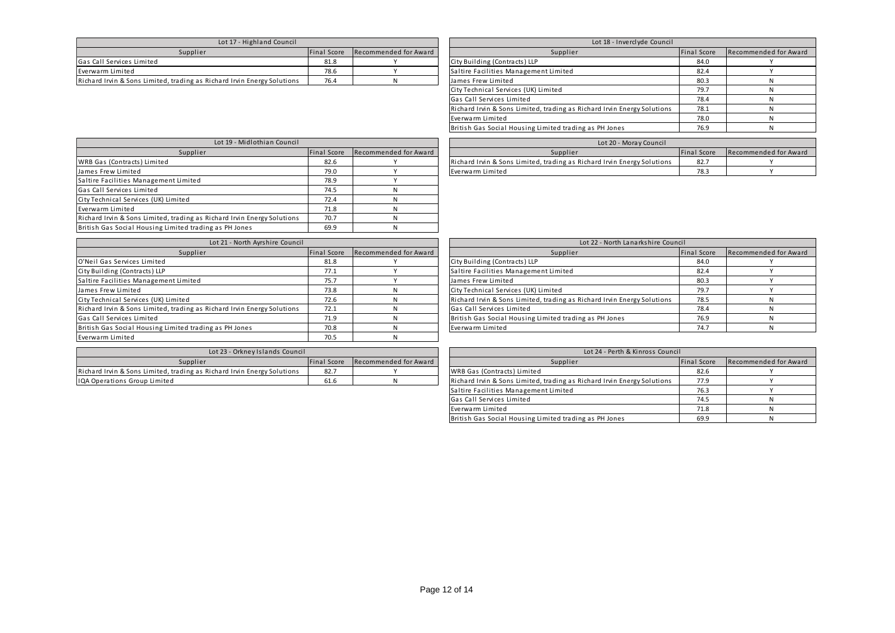| Lot 17 - Highland Council                                               |                    |                       | Lot 18 - Inverclyde Council           |                    |                    |
|-------------------------------------------------------------------------|--------------------|-----------------------|---------------------------------------|--------------------|--------------------|
| Supplier                                                                | <b>Final Score</b> | Recommended for Award | Supplier                              | <b>Final Score</b> | <b>Recommended</b> |
| Gas Call Services Limited                                               | 81.8               |                       | City Building (Contracts) LLP         | 84.0               |                    |
| Everwarm Limited                                                        | 78.6               |                       | Saltire Facilities Management Limited | 82.4               |                    |
| Richard Irvin & Sons Limited, trading as Richard Irvin Energy Solutions | 76.4               |                       | James Frew Limited                    | 80.3               |                    |

| Lot 17 - Highland Council              |                    |                       | Lot 18 - Inverclyde Council                                             |                    |                       |
|----------------------------------------|--------------------|-----------------------|-------------------------------------------------------------------------|--------------------|-----------------------|
| Supplier                               | <b>Final Score</b> | Recommended for Award | Supplier                                                                | <b>Final Score</b> | Recommended for Award |
|                                        | 81.8               |                       | City Building (Contracts) LLP                                           | 84.0               |                       |
|                                        | 78.6               |                       | Saltire Facilities Management Limited                                   | 82.4               |                       |
| ding as Richard Irvin Energy Solutions | 76.4               |                       | James Frew Limited                                                      | 80.3               |                       |
|                                        |                    |                       | City Technical Services (UK) Limited                                    | 79.7               |                       |
|                                        |                    |                       | Gas Call Services Limited                                               | 78.4               |                       |
|                                        |                    |                       | Richard Irvin & Sons Limited, trading as Richard Irvin Energy Solutions | 78.1               |                       |
|                                        |                    |                       | Everwarm Limited                                                        | 78.0               |                       |
|                                        |                    |                       | British Gas Social Housing Limited trading as PH Jones                  | 76.9               |                       |

| Lot 19 - Midlothian Council                                             |             | Lot 20 - Moray Council |                                                                         |                    |             |
|-------------------------------------------------------------------------|-------------|------------------------|-------------------------------------------------------------------------|--------------------|-------------|
| Supplier                                                                | Final Score | Recommended for Award  | Supplier                                                                | <b>Final Score</b> | Recommended |
| WRB Gas (Contracts) Limited                                             | 82.6        |                        | Richard Irvin & Sons Limited, trading as Richard Irvin Energy Solutions | 82.7               |             |
| James Frew Limited                                                      | 79.0        |                        | Everwarm Limited                                                        | 78.3               |             |
| Saltire Facilities Management Limited                                   | 78.9        |                        |                                                                         |                    |             |
| Gas Call Services Limited                                               | 74.5        |                        |                                                                         |                    |             |
| City Technical Services (UK) Limited                                    | 72.4        |                        |                                                                         |                    |             |
| Everwarm Limited                                                        | 71.8        |                        |                                                                         |                    |             |
| Richard Irvin & Sons Limited, trading as Richard Irvin Energy Solutions | 70.7        |                        |                                                                         |                    |             |
| British Gas Social Housing Limited trading as PH Jones                  | 69.9        |                        |                                                                         |                    |             |

| Everwarm Limited | 78.3 |  |
|------------------|------|--|
|                  |      |  |
|                  |      |  |
|                  |      |  |
|                  |      |  |
|                  |      |  |
|                  |      |  |
|                  |      |  |

Supplier Final Score Recommended for Award<br>
Final Score Recommended for Award

| Lot 21 - North Ayrshire Council                                         |             | Lot 22 - North Lanarkshire Council |                                                                         |             |             |
|-------------------------------------------------------------------------|-------------|------------------------------------|-------------------------------------------------------------------------|-------------|-------------|
| Supplier                                                                | Final Score | Recommended for Award              | Supplier                                                                | Final Score | Recommended |
| O'Neil Gas Services Limited                                             | 81.8        |                                    | City Building (Contracts) LLP                                           | 84.0        |             |
| City Building (Contracts) LLP                                           | 77.1        |                                    | Saltire Facilities Management Limited                                   | 82.4        |             |
| Saltire Facilities Management Limited                                   | 75.7        |                                    | James Frew Limited                                                      | 80.3        |             |
| James Frew Limited                                                      | 73.8        |                                    | City Technical Services (UK) Limited                                    | 79.7        |             |
| City Technical Services (UK) Limited                                    | 72.6        |                                    | Richard Irvin & Sons Limited, trading as Richard Irvin Energy Solutions | 78.5        |             |
| Richard Irvin & Sons Limited, trading as Richard Irvin Energy Solutions | 72.1        |                                    | Gas Call Services Limited                                               | 78.4        |             |
| Gas Call Services Limited                                               | 71.9        |                                    | British Gas Social Housing Limited trading as PH Jones                  | 76.9        |             |
| British Gas Social Housing Limited trading as PH Jones                  | 70.8        |                                    | Everwarm Limited                                                        | 74.7        |             |
| Everwarm Limited                                                        | 70.5        |                                    |                                                                         |             |             |

| Lot 23 - Orkney Islands Council                                         |             | Lot 24 - Perth & Kinross Council |                                                                         |                    |                    |
|-------------------------------------------------------------------------|-------------|----------------------------------|-------------------------------------------------------------------------|--------------------|--------------------|
| Supplier                                                                | Final Score | Recommended for Award            | Supplier                                                                | <b>Final Score</b> | <b>Recommended</b> |
| Richard Irvin & Sons Limited, trading as Richard Irvin Energy Solutions | 82.7        |                                  | WRB Gas (Contracts) Limited                                             |                    |                    |
| IQA Operations Group Limited                                            | 61.6        |                                  | Richard Irvin & Sons Limited, trading as Richard Irvin Energy Solutions | 77.9               |                    |

| Lot 21 - North Ayrshire Council        |             |                       | Lot 22 - North Lanarkshire Council                                      |             |                       |
|----------------------------------------|-------------|-----------------------|-------------------------------------------------------------------------|-------------|-----------------------|
| Supplier                               | Final Score | Recommended for Award | Supplier                                                                | Final Score | Recommended for Award |
|                                        | 81.8        |                       | City Building (Contracts) LLP                                           | 84.0        |                       |
|                                        | 77.1        |                       | Saltire Facilities Management Limited                                   | 82.4        |                       |
| .imited                                | 75.7        |                       | James Frew Limited                                                      | 80.3        |                       |
|                                        | 73.8        |                       | City Technical Services (UK) Limited                                    | 79.7        |                       |
| ted                                    | 72.6        |                       | Richard Irvin & Sons Limited, trading as Richard Irvin Energy Solutions | 78.5        |                       |
| ding as Richard Irvin Energy Solutions | 72.1        |                       | Gas Call Services Limited                                               | 78.4        |                       |
|                                        | 71.9        |                       | British Gas Social Housing Limited trading as PH Jones                  | 76.9        |                       |
| ted trading as PH Jones                | 70.8        |                       | Everwarm Limited                                                        | 74.7        |                       |

| Lot 23 - Orkney Islands Council        |             |                       | Lot 24 - Perth & Kinross Council                                        |             |                       |
|----------------------------------------|-------------|-----------------------|-------------------------------------------------------------------------|-------------|-----------------------|
| Supplier                               | Final Score | Recommended for Award | Supplier                                                                | Final Score | Recommended for Award |
| ding as Richard Irvin Energy Solutions | 82.7        |                       | WRB Gas (Contracts) Limited                                             | 82.6        |                       |
|                                        | 61.6        |                       | Richard Irvin & Sons Limited, trading as Richard Irvin Energy Solutions | 77.9        |                       |
|                                        |             |                       | Saltire Facilities Management Limited                                   | 76.3        |                       |
|                                        |             |                       | Gas Call Services Limited                                               | 74.5        |                       |
|                                        |             |                       | Everwarm Limited                                                        | 71.8        |                       |
|                                        |             |                       | British Gas Social Housing Limited trading as PH Jones                  | 69.9        |                       |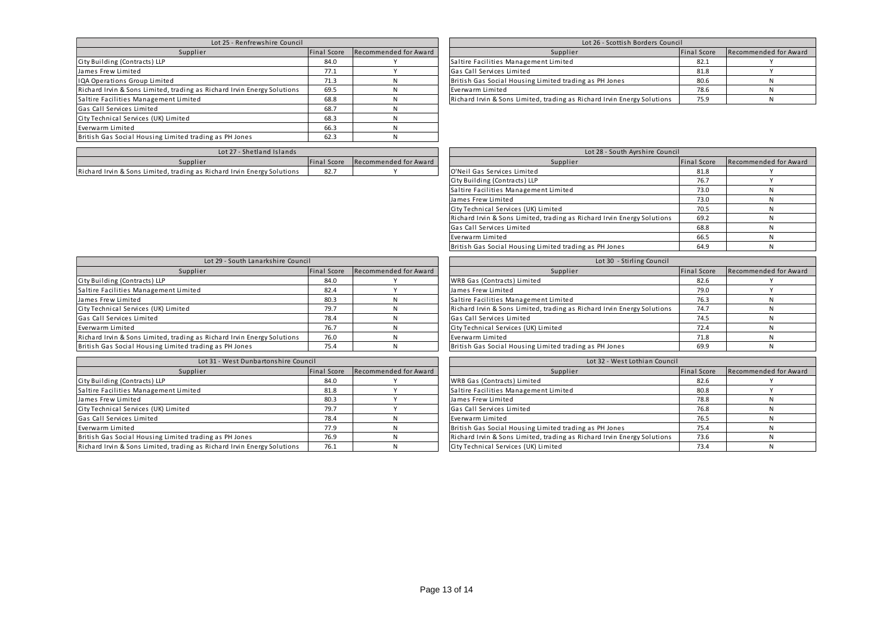| Lot 25 - Renfrewshire Council                                           |             | Lot 26 - Scottish Borders Council |                                                                         |             |             |
|-------------------------------------------------------------------------|-------------|-----------------------------------|-------------------------------------------------------------------------|-------------|-------------|
| Supplier                                                                | Final Score | Recommended for Award             | Supplier                                                                | Final Score | Recommended |
| City Building (Contracts) LLP                                           | 84.0        |                                   | Saltire Facilities Management Limited                                   | 82.1        |             |
| James Frew Limited                                                      | 77.1        |                                   | Gas Call Services Limited                                               | 81.8        |             |
| IQA Operations Group Limited                                            | 71.3        |                                   | British Gas Social Housing Limited trading as PH Jones                  | 80.6        |             |
| Richard Irvin & Sons Limited, trading as Richard Irvin Energy Solutions | 69.5        |                                   | Everwarm Limited                                                        | 78.6        |             |
| Saltire Facilities Management Limited                                   | 68.8        |                                   | Richard Irvin & Sons Limited, trading as Richard Irvin Energy Solutions | 75.9        |             |
| Gas Call Services Limited                                               | 68.7        |                                   |                                                                         |             |             |
| City Technical Services (UK) Limited                                    | 68.3        |                                   |                                                                         |             |             |
| Everwarm Limited                                                        | 66.3        |                                   |                                                                         |             |             |
| British Gas Social Housing Limited trading as PH Jones                  | 62.3        |                                   |                                                                         |             |             |

| Lot 25 - Renfrewshire Council          |             |                       | Lot 26 - Scottish Borders Council                                       |                    |                       |  |  |
|----------------------------------------|-------------|-----------------------|-------------------------------------------------------------------------|--------------------|-----------------------|--|--|
| Supplier                               | Final Score | Recommended for Award | Supplier                                                                | <b>Final Score</b> | Recommended for Award |  |  |
|                                        | 84.0        |                       | Saltire Facilities Management Limited                                   | 82.1               |                       |  |  |
|                                        | 77.1        |                       | Gas Call Services Limited                                               | 81.8               |                       |  |  |
|                                        | 71.3        |                       | British Gas Social Housing Limited trading as PH Jones                  | 80.6               |                       |  |  |
| ding as Richard Irvin Energy Solutions | 69.5        |                       | Everwarm Limited                                                        | 78.6               |                       |  |  |
| .imited                                | 68.8        |                       | Richard Irvin & Sons Limited, trading as Richard Irvin Energy Solutions | 75.9               |                       |  |  |
|                                        |             |                       |                                                                         |                    |                       |  |  |

| - Shetland Islands<br>Lot 27                                            |            |  |  | Lot 28 - 1<br>- South Ayrshire Council |             |                 |
|-------------------------------------------------------------------------|------------|--|--|----------------------------------------|-------------|-----------------|
| Supplier<br><b>Recommended for Award</b><br>Final Score                 |            |  |  | Supplier                               | Final Score | Reco<br>mmender |
| Richard Irvin & Sons Limited, trading as Richard Irvin Energy Solutions | ---<br>oz. |  |  | O'Nei<br>l Gas Services Limited        | 01.         |                 |

| Lot 27 - Shetland Islands              |             |                       | Lot 28 - South Ayrshire Council                                         |                    |                       |
|----------------------------------------|-------------|-----------------------|-------------------------------------------------------------------------|--------------------|-----------------------|
| Supplier                               | Final Score | Recommended for Award | Supplier                                                                | <b>Final Score</b> | Recommended for Award |
| ding as Richard Irvin Energy Solutions | 82.7        |                       | O'Neil Gas Services Limited                                             | 81.8               |                       |
|                                        |             |                       | City Building (Contracts) LLP                                           | 76.7               |                       |
|                                        |             |                       | Saltire Facilities Management Limited                                   | 73.0               |                       |
|                                        |             |                       | James Frew Limited                                                      | 73.0               |                       |
|                                        |             |                       | City Technical Services (UK) Limited                                    | 70.5               |                       |
|                                        |             |                       | Richard Irvin & Sons Limited, trading as Richard Irvin Energy Solutions | 69.2               |                       |
|                                        |             |                       | Gas Call Services Limited                                               | 68.8               |                       |
|                                        |             |                       | Everwarm Limited                                                        | 66.5               |                       |
|                                        |             |                       | British Gas Social Housing Limited trading as PH Jones                  | 64.9               |                       |

| Lot 29 - South Lanarkshire Council                                      |             | Lot 30 - Stirling Council |                                                                         |             |             |
|-------------------------------------------------------------------------|-------------|---------------------------|-------------------------------------------------------------------------|-------------|-------------|
| Supplier                                                                | Final Score | Recommended for Award     | Supplier                                                                | Final Score | Recommended |
| City Building (Contracts) LLP                                           | 84.0        |                           | WRB Gas (Contracts) Limited                                             | 82.6        |             |
| Saltire Facilities Management Limited                                   | 82.4        |                           | James Frew Limited                                                      | 79.0        |             |
| James Frew Limited                                                      | 80.3        |                           | Saltire Facilities Management Limited                                   | 76.3        |             |
| City Technical Services (UK) Limited                                    | 79.7        |                           | Richard Irvin & Sons Limited, trading as Richard Irvin Energy Solutions | 74.7        |             |
| Gas Call Services Limited                                               | 78.4        |                           | Gas Call Services Limited                                               | 74.5        |             |
| Everwarm Limited                                                        | 76.7        |                           | City Technical Services (UK) Limited                                    | 72.4        |             |
| Richard Irvin & Sons Limited, trading as Richard Irvin Energy Solutions | 76.0        |                           | Everwarm Limited                                                        | 71.8        |             |
| British Gas Social Housing Limited trading as PH Jones                  | 75.4        |                           | British Gas Social Housing Limited trading as PH Jones                  | 69.9        |             |

| Lot 31 - West Dunbartonshire Council                                    |             | Lot 32 - West Lothian Council |                                                                         |                    |             |
|-------------------------------------------------------------------------|-------------|-------------------------------|-------------------------------------------------------------------------|--------------------|-------------|
| Supplier                                                                | Final Score | Recommended for Award         | Supplier                                                                | <b>Final Score</b> | Recommended |
| City Building (Contracts) LLP                                           | 84.0        |                               | WRB Gas (Contracts) Limited                                             | 82.6               |             |
| Saltire Facilities Management Limited                                   | 81.8        |                               | Saltire Facilities Management Limited                                   | 80.8               |             |
| James Frew Limited                                                      | 80.3        |                               | James Frew Limited                                                      | 78.8               |             |
| City Technical Services (UK) Limited                                    | 79.7        |                               | Gas Call Services Limited                                               | 76.8               |             |
| Gas Call Services Limited                                               | 78.4        |                               | Everwarm Limited                                                        | 76.5               |             |
| Everwarm Limited                                                        | 77.9        |                               | British Gas Social Housing Limited trading as PH Jones                  | 75.4               |             |
| British Gas Social Housing Limited trading as PH Jones                  | 76.9        |                               | Richard Irvin & Sons Limited, trading as Richard Irvin Energy Solutions | 73.6               |             |
| Richard Irvin & Sons Limited, trading as Richard Irvin Energy Solutions | 76.1        |                               | City Technical Services (UK) Limited                                    | 73.4               |             |

| Lot 29 - South Lanarkshire Council     |             |                       | Lot 30 - Stirling Council                                               |                    |                       |
|----------------------------------------|-------------|-----------------------|-------------------------------------------------------------------------|--------------------|-----------------------|
| Supplier                               | Final Score | Recommended for Award | Supplier                                                                | <b>Final Score</b> | Recommended for Award |
|                                        | 84.0        |                       | WRB Gas (Contracts) Limited                                             | 82.6               |                       |
| .imited                                | 82.4        |                       | James Frew Limited                                                      | 79.0               |                       |
|                                        | 80.3        |                       | Saltire Facilities Management Limited                                   | 76.3               |                       |
| ted                                    | 79.7        |                       | Richard Irvin & Sons Limited, trading as Richard Irvin Energy Solutions | 74.7               |                       |
|                                        | 78.4        |                       | Gas Call Services Limited                                               | 74.5               |                       |
|                                        | 76.7        |                       | City Technical Services (UK) Limited                                    | 72.4               |                       |
| ding as Richard Irvin Energy Solutions | 76.0        |                       | Everwarm Limited                                                        | 71.8               |                       |
| ted trading as PH Jones                | 75.4        |                       | British Gas Social Housing Limited trading as PH Jones                  | 69.9               |                       |

| Lot 31 - West Dunbartonshire Council   |             |                       | Lot 32 - West Lothian Council                                           |             |                       |  |  |
|----------------------------------------|-------------|-----------------------|-------------------------------------------------------------------------|-------------|-----------------------|--|--|
| Supplier                               | Final Score | Recommended for Award | Supplier                                                                | Final Score | Recommended for Award |  |  |
|                                        | 84.0        |                       | WRB Gas (Contracts) Limited                                             | 82.6        |                       |  |  |
| .imited                                | 81.8        |                       | Saltire Facilities Management Limited                                   | 80.8        |                       |  |  |
|                                        | 80.3        |                       | James Frew Limited                                                      | 78.8        |                       |  |  |
| ted                                    | 79.7        |                       | Gas Call Services Limited                                               | 76.8        |                       |  |  |
|                                        | 78.4        |                       | Everwarm Limited                                                        | 76.5        |                       |  |  |
|                                        | 77.9        |                       | British Gas Social Housing Limited trading as PH Jones                  | 75.4        |                       |  |  |
| ted trading as PH Jones                | 76.9        |                       | Richard Irvin & Sons Limited, trading as Richard Irvin Energy Solutions | 73.6        |                       |  |  |
| ding as Richard Irvin Energy Solutions | 76.1        |                       | City Technical Services (UK) Limited                                    | 73.4        |                       |  |  |